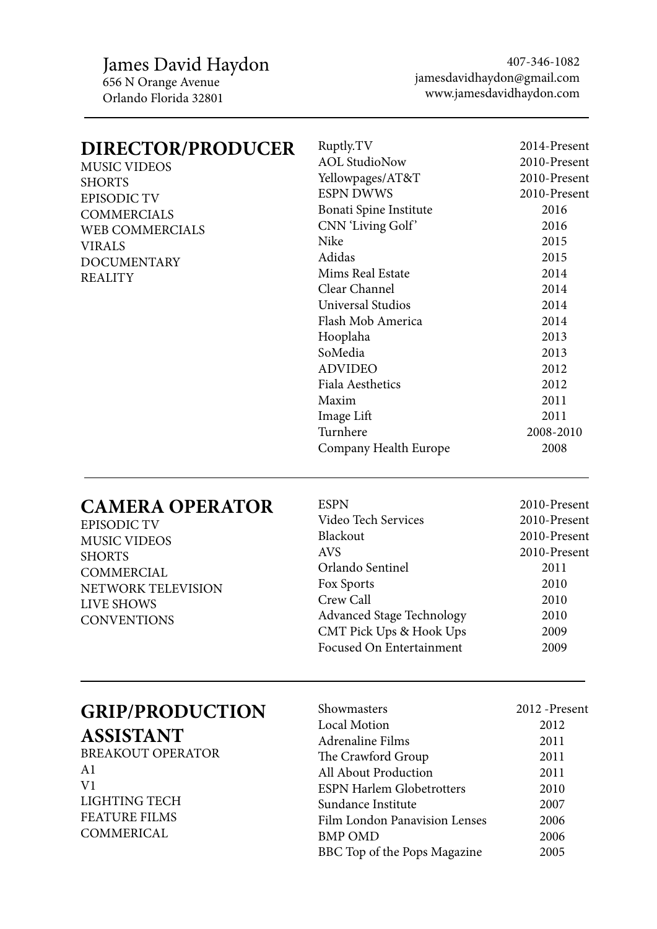James David Haydon 656 N Orange Avenue Orlando Florida 32801

407-346-1082 jamesdavidhaydon@gmail.com www.jamesdavidhaydon.com

2010-Present

#### **DIRECTOR/PRODUCER** MUSIC VIDEOS SHORTS EPISODIC TV **COMMERCIALS** WEB COMMERCIALS VIRALS DOCUMENTARY REALITY Ruptly.TV AOL StudioNow Yellowpages/AT&T ESPN DWWS Bonati Spine Institute CNN 'Living Golf' Nike Adidas Mims Real Estate Clear Channel Universal Studios Flash Mob America Hooplaha SoMedia ADVIDEO Fiala Aesthetics Maxim Image Lift Turnhere Company Health Europe 2014-Present 2010-Present 2010-Present 2010-Present 2016 2016 2015 2015 2014 2014 2014 2014 2013 2013 2012 2012 2011 2011 2008-2010 2008

#### **CAMERA OPERATOR**

| <b>EPISODIC TV</b>                      | Video Tech Services              | 2010-Present |
|-----------------------------------------|----------------------------------|--------------|
| <b>MUSIC VIDEOS</b>                     | Blackout                         | 2010-Present |
| <b>SHORTS</b>                           | <b>AVS</b>                       | 2010-Present |
| <b>COMMERCIAL</b><br>NETWORK TELEVISION | Orlando Sentinel                 | 2011         |
|                                         | Fox Sports                       | 2010         |
| LIVE SHOWS                              | Crew Call                        | 2010         |
| <b>CONVENTIONS</b>                      | <b>Advanced Stage Technology</b> | 2010         |
|                                         | CMT Pick Ups & Hook Ups          | 2009         |
|                                         | Focused On Entertainment         | 2009         |

ESPN

# **GRIP/PRODUCTION**

**ASSISTANT**

BREAKOUT OPERATOR A1 V1 LIGHTING TECH FEATURE FILMS COMMERICAL

| Showmasters                      | 2012 - Present |
|----------------------------------|----------------|
| <b>Local Motion</b>              | 2012           |
| <b>Adrenaline Films</b>          | 2011           |
| The Crawford Group               | 2011           |
| All About Production             | 2011           |
| <b>ESPN Harlem Globetrotters</b> | 2010           |
| Sundance Institute               | 2007           |
| Film London Panavision Lenses    | 2006           |
| <b>BMP OMD</b>                   | 2006           |
| BBC Top of the Pops Magazine     | 2005           |